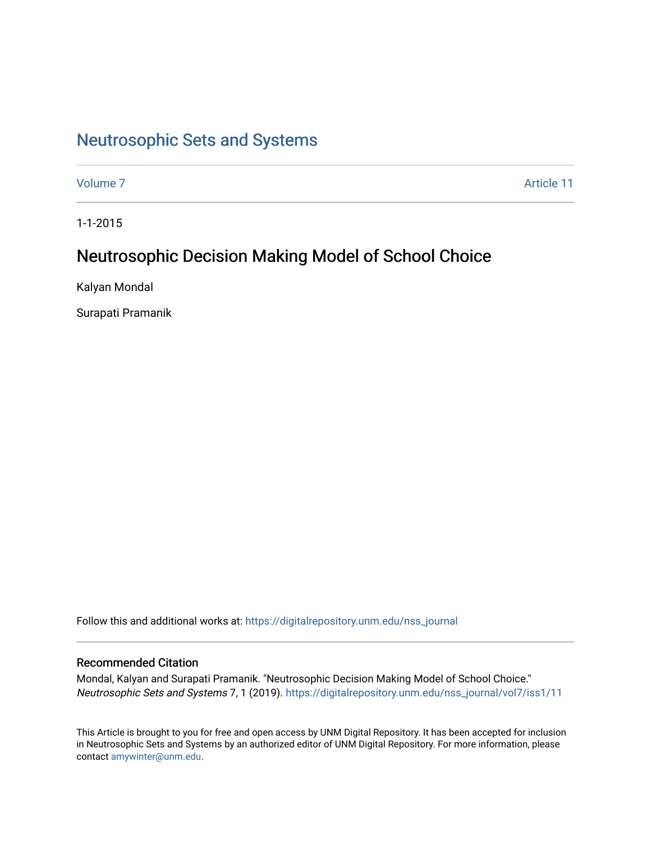# [Neutrosophic Sets and Systems](https://digitalrepository.unm.edu/nss_journal)

[Volume 7](https://digitalrepository.unm.edu/nss_journal/vol7) Article 11

1-1-2015

# Neutrosophic Decision Making Model of School Choice

Kalyan Mondal

Surapati Pramanik

Follow this and additional works at: [https://digitalrepository.unm.edu/nss\\_journal](https://digitalrepository.unm.edu/nss_journal?utm_source=digitalrepository.unm.edu%2Fnss_journal%2Fvol7%2Fiss1%2F11&utm_medium=PDF&utm_campaign=PDFCoverPages) 

# Recommended Citation

Mondal, Kalyan and Surapati Pramanik. "Neutrosophic Decision Making Model of School Choice." Neutrosophic Sets and Systems 7, 1 (2019). [https://digitalrepository.unm.edu/nss\\_journal/vol7/iss1/11](https://digitalrepository.unm.edu/nss_journal/vol7/iss1/11?utm_source=digitalrepository.unm.edu%2Fnss_journal%2Fvol7%2Fiss1%2F11&utm_medium=PDF&utm_campaign=PDFCoverPages)

This Article is brought to you for free and open access by UNM Digital Repository. It has been accepted for inclusion in Neutrosophic Sets and Systems by an authorized editor of UNM Digital Repository. For more information, please contact [amywinter@unm.edu](mailto:amywinter@unm.edu).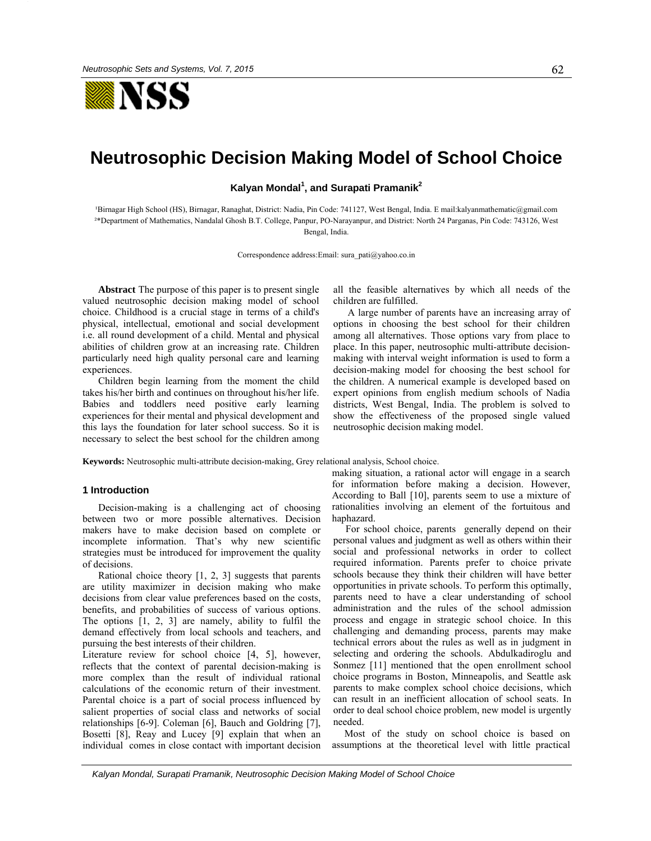

# **Neutrosophic Decision Making Model of School Choice**

**Kalyan Mondal<sup>1</sup> , and Surapati Pramanik2**

'Birnagar High School (HS), Birnagar, Ranaghat, District: Nadia, Pin Code: 741127, West Bengal, India. E mail:kalyanmathematic@gmail.com ²\*Department of Mathematics, Nandalal Ghosh B.T. College, Panpur, PO-Narayanpur, and District: North 24 Parganas, Pin Code: 743126, West Bengal, India.

Correspondence address:Email: sura\_pati@yahoo.co.in

**Abstract** The purpose of this paper is to present single valued neutrosophic decision making model of school choice. Childhood is a crucial stage in terms of a child's physical, intellectual, emotional and social development i.e. all round development of a child. Mental and physical abilities of children grow at an increasing rate. Children particularly need high quality personal care and learning experiences.

Children begin learning from the moment the child takes his/her birth and continues on throughout his/her life. Babies and toddlers need positive early learning experiences for their mental and physical development and this lays the foundation for later school success. So it is necessary to select the best school for the children among all the feasible alternatives by which all needs of the children are fulfilled.

A large number of parents have an increasing array of options in choosing the best school for their children among all alternatives. Those options vary from place to place. In this paper, neutrosophic multi-attribute decisionmaking with interval weight information is used to form a decision-making model for choosing the best school for the children. A numerical example is developed based on expert opinions from english medium schools of Nadia districts, West Bengal, India. The problem is solved to show the effectiveness of the proposed single valued neutrosophic decision making model.

**Keywords:** Neutrosophic multi-attribute decision-making, Grey relational analysis, School choice.

#### **1 Introduction**

Decision-making is a challenging act of choosing between two or more possible alternatives. Decision makers have to make decision based on complete or incomplete information. That's why new scientific strategies must be introduced for improvement the quality of decisions.

Rational choice theory [1, 2, 3] suggests that parents are utility maximizer in decision making who make decisions from clear value preferences based on the costs, benefits, and probabilities of success of various options. The options [1, 2, 3] are namely, ability to fulfil the demand effectively from local schools and teachers, and pursuing the best interests of their children.

Literature review for school choice [4, 5], however, reflects that the context of parental decision-making is more complex than the result of individual rational calculations of the economic return of their investment. Parental choice is a part of social process influenced by salient properties of social class and networks of social relationships [6-9]. Coleman [6], Bauch and Goldring [7], Bosetti [8], Reay and Lucey [9] explain that when an individual comes in close contact with important decision making situation, a rational actor will engage in a search for information before making a decision. However, According to Ball [10], parents seem to use a mixture of rationalities involving an element of the fortuitous and haphazard.

 For school choice, parents generally depend on their personal values and judgment as well as others within their social and professional networks in order to collect required information. Parents prefer to choice private schools because they think their children will have better opportunities in private schools. To perform this optimally, parents need to have a clear understanding of school administration and the rules of the school admission process and engage in strategic school choice. In this challenging and demanding process, parents may make technical errors about the rules as well as in judgment in selecting and ordering the schools. Abdulkadiroglu and Sonmez [11] mentioned that the open enrollment school choice programs in Boston, Minneapolis, and Seattle ask parents to make complex school choice decisions, which can result in an inefficient allocation of school seats. In order to deal school choice problem, new model is urgently needed.

 Most of the study on school choice is based on assumptions at the theoretical level with little practical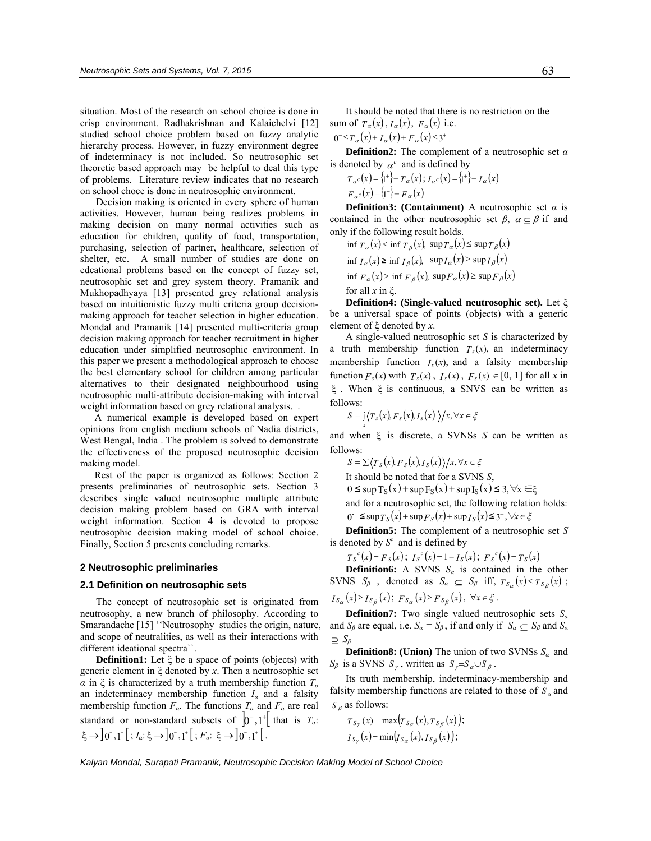situation. Most of the research on school choice is done in crisp environment. Radhakrishnan and Kalaichelvi [12] studied school choice problem based on fuzzy analytic hierarchy process. However, in fuzzy environment degree of indeterminacy is not included. So neutrosophic set theoretic based approach may be helpful to deal this type of problems. Literature review indicates that no research on school choce is done in neutrosophic environment.

Decision making is oriented in every sphere of human activities. However, human being realizes problems in making decision on many normal activities such as education for children, quality of food, transportation, purchasing, selection of partner, healthcare, selection of shelter, etc. A small number of studies are done on edcational problems based on the concept of fuzzy set, neutrosophic set and grey system theory. Pramanik and Mukhopadhyaya [13] presented grey relational analysis based on intuitionistic fuzzy multi criteria group decisionmaking approach for teacher selection in higher education. Mondal and Pramanik [14] presented multi-criteria group decision making approach for teacher recruitment in higher education under simplified neutrosophic environment. In this paper we present a methodological approach to choose the best elementary school for children among particular alternatives to their designated neighbourhood using neutrosophic multi-attribute decision-making with interval weight information based on grey relational analysis. .

A numerical example is developed based on expert opinions from english medium schools of Nadia districts, West Bengal, India . The problem is solved to demonstrate the effectiveness of the proposed neutrosophic decision making model.

Rest of the paper is organized as follows: Section 2 presents preliminaries of neutrosophic sets. Section 3 describes single valued neutrosophic multiple attribute decision making problem based on GRA with interval weight information. Section 4 is devoted to propose neutrosophic decision making model of school choice. Finally, Section 5 presents concluding remarks.

#### **2 Neutrosophic preliminaries**

#### **2.1 Definition on neutrosophic sets**

The concept of neutrosophic set is originated from neutrosophy, a new branch of philosophy. According to Smarandache [15] ''Neutrosophy studies the origin, nature, and scope of neutralities, as well as their interactions with different ideational spectra``.

**Definition1:** Let ξ be a space of points (objects) with generic element in ξ denoted by *x*. Then a neutrosophic set *α* in ξ is characterized by a truth membership function *T<sup>α</sup>* an indeterminacy membership function  $I_\alpha$  and a falsity membership function  $F_a$ . The functions  $T_a$  and  $F_a$  are real standard or non-standard subsets of  $\left[0^-,1^+\right]$  that is  $T_a$ .  $\xi \to 0^-$ ,1<sup>+</sup>  $[; I_a: \xi \to 0^-$ ,1<sup>+</sup>  $[; F_a: \xi \to 0^-$ ,1<sup>+</sup>  $[$ .

It should be noted that there is no restriction on the sum of  $T_a(x)$ ,  $I_a(x)$ ,  $F_a(x)$  i.e.

 $0^{-} \le T_a(x) + I_a(x) + F_a(x) \le 3^+$ 

**Definition2:** The complement of a neutrosophic set *α* is denoted by  $\alpha^c$  and is defined by

$$
T_{\alpha}c(x) = \{t^*\} - T_{\alpha}(x); I_{\alpha}c(x) = \{t^*\} - I_{\alpha}(x)
$$
  

$$
F_{\alpha}c(x) = \{t^*\} - F_{\alpha}(x)
$$

**Definition3:** (Containment) A neutrosophic set  $\alpha$  is contained in the other neutrosophic set  $\beta$ ,  $\alpha \subset \beta$  if and only if the following result holds.

inf  $T_a(x) \le \inf T_a(x)$ ,  $\sup T_a(x) \le \sup T_a(x)$  $\inf I_{\alpha}(x) \ge \inf I_{\beta}(x)$ ,  $\sup I_{\alpha}(x) \ge \sup I_{\beta}(x)$ inf  $F_a(x) \ge \inf F_a(x)$ ,  $\sup F_a(x) \ge \sup F_a(x)$ for all *x* in ξ.

**Definition4: (Single-valued neutrosophic set).** Let ξ be a universal space of points (objects) with a generic element of ξ denoted by *x*.

A single-valued neutrosophic set *S* is characterized by a truth membership function  $T_s(x)$ , an indeterminacy membership function  $I_s(x)$ , and a falsity membership function  $F_s(x)$  with  $T_s(x)$ ,  $I_s(x)$ ,  $F_s(x) \in [0, 1]$  for all x in ξ . When ξ is continuous, a SNVS can be written as follows:

$$
S = \int\limits_x \langle T_s(x), F_s(x), I_s(x) \rangle / x, \forall x \in \xi
$$

and when ξ is discrete, a SVNSs *S* can be written as follows:

 $S = \sum \langle T_s(x), F_s(x), I_s(x) \rangle / x, \forall x \in \xi$ 

It should be noted that for a SVNS *S*,

 $0 \leq$  sup T<sub>S</sub>(x) + sup F<sub>S</sub>(x) + sup I<sub>S</sub>(x)  $\leq$  3,  $\forall$ x  $\in \xi$ 

and for a neutrosophic set, the following relation holds:  $( \int_0^{\infty} \mathbf{S} \sin \mathcal{T}_S(x) + \sin \mathcal{F}_S(x) + \sin \mathcal{T}_S(x) \mathbf{S}^T, \forall x \in \mathcal{Z}$ 

**Definition5:** The complement of a neutrosophic set *S* is denoted by  $S^c$  and is defined by

 $T_S^c(x) = F_S(x); I_S^c(x) = 1 - I_S(x); F_S^c(x) = T_S(x)$ 

**Definition6:** A SVNS  $S_\alpha$  is contained in the other SVNS  $S_\beta$ , denoted as  $S_\alpha \subseteq S_\beta$  iff,  $T_{S_\alpha}(x) \leq T_{S_\beta}(x)$ ;

 $I_{S_{\alpha}}(x) \ge I_{S_{\beta}}(x);$   $F_{S_{\alpha}}(x) \ge F_{S_{\beta}}(x), \forall x \in \xi.$ 

**Definition7:** Two single valued neutrosophic sets *S<sup>α</sup>* and *S<sub>β</sub>* are equal, i.e.  $S_\alpha = S_\beta$ , if and only if  $S_\alpha \subseteq S_\beta$  and  $S_\alpha$ ⊇ *S<sup>β</sup>*

**Definition8: (Union)** The union of two SVNSs  $S_\alpha$  and *S*<sup>β</sup> is a SVNS *S*<sup>γ</sup>, written as  $S_y = S_a \cup S_\beta$ .

Its truth membership, indeterminacy-membership and falsity membership functions are related to those of  $S_a$  and <sup>β</sup> *S* as follows:

$$
T_{S_Y}(x) = \max (T_{S_\alpha}(x), T_{S_\beta}(x));
$$
  
\n
$$
I_{S_Y}(x) = \min (I_{S_\alpha}(x), I_{S_\beta}(x));
$$

*Kalyan Mondal, Surapati Pramanik, Neutrosophic Decision Making Model of School Choice*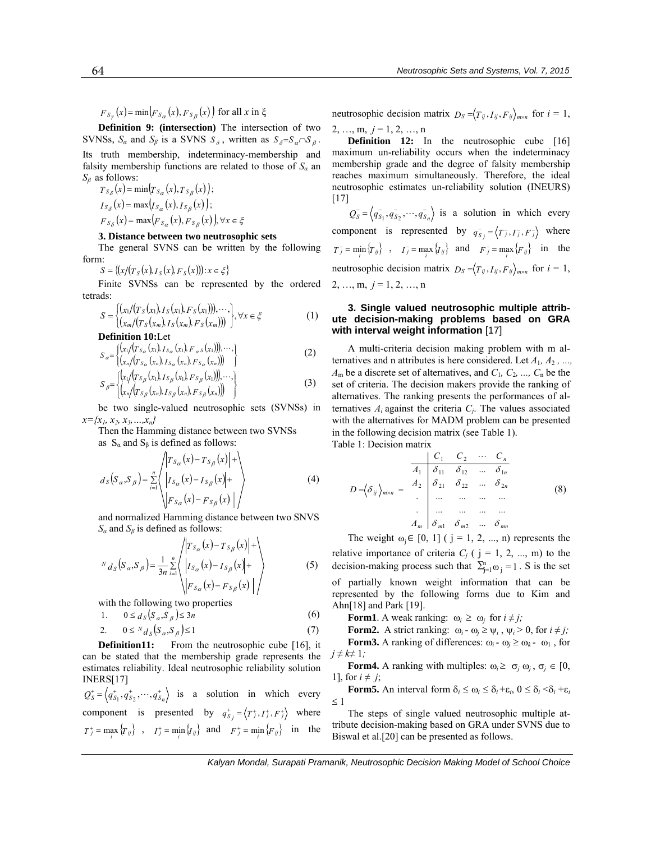$F_{S_Y}(x) = \min(F_{S_{\alpha}}(x), F_{S_{\beta}}(x))$  for all *x* in  $\xi$ 

**Definition 9: (intersection)** The intersection of two SVNSs,  $S_\alpha$  and  $S_\beta$  is a SVNS  $S_\delta$ , written as  $S_\delta = S_\alpha \cap S_\beta$ . Its truth membership, indeterminacy-membership and falsity membership functions are related to those of  $S_a$  and *Sβ* as follows:

 $T_{S_{\delta}}(x) = \min\{T_{S_{\delta}}(x), T_{S_{\delta}}(x)\}\$  $I_{S_{\delta}}(x) = \max(I_{S_{\alpha}}(x), I_{S_{\beta}}(x));$  $F_{S_{\delta}}(x) = \max(F_{S_{\alpha}}(x), F_{S_{\beta}}(x))$ ,  $\forall x \in \xi$ 

#### **3. Distance between two neutrosophic sets**

The general SVNS can be written by the following form:

 $S = \{(x/(T_S(x), I_S(x), F_S(x))): x \in \xi\}$ 

Finite SVNSs can be represented by the ordered tetrads:

$$
S = \begin{cases} (x_1/(T_S(x_1), I_S(x_1), F_S(x_1))), \cdots, \\ (x_m/(T_S(x_m), I_S(x_m), F_S(x_m))) \end{cases}, \forall x \in \xi
$$
 (1)

**Definition 10:**Let

$$
S_{\alpha} = \begin{cases} \left( x_1 / (T_{S_{\alpha}}(x_1), I_{S_{\alpha}}(x_1), F_{\alpha} S(x_1)) \right), \cdots, \\ \left( x_n / (T_{S_{\alpha}}(x_n), I_{S_{\alpha}}(x_n), F_{S_{\alpha}}(x_n)) \right) \end{cases}
$$
 (2)

$$
S_{\beta} = \begin{cases} \n\left\{ (x_1 / (T_{S_{\beta}}(x_1), I_{S_{\beta}}(x_1), F_{S_{\beta}}(x_1))), \cdots, \atop (x_n / (T_{S_{\beta}}(x_n), I_{S_{\beta}}(x_n), F_{S_{\beta}}(x_n))) \right\} \n\end{cases}
$$
\n(3)

 be two single-valued neutrosophic sets (SVNSs) in *x={x1, x2, x3,…,xn}*

Then the Hamming distance between two SVNSs as  $S_\alpha$  and  $S_\beta$  is defined as follows:

$$
d_S(S_\alpha, S_\beta) = \sum_{i=1}^n \left\langle \begin{vmatrix} T_{S_\alpha}(x) - T_{S_\beta}(x) & + \\ I_{S_\alpha}(x) - I_{S_\beta}(x) & + \\ F_{S_\alpha}(x) - F_{S_\beta}(x) & \end{vmatrix} \right\rangle \tag{4}
$$

and normalized Hamming distance between two SNVS  $S_\alpha$  and  $S_\beta$  is defined as follows:

$$
N_{dS}(S_{\alpha}, S_{\beta}) = \frac{1}{3n} \sum_{i=1}^{n} \left\langle \begin{vmatrix} T_{S_{\alpha}}(x) - T_{S_{\beta}}(x) + \\ I_{S_{\alpha}}(x) - I_{S_{\beta}}(x) + \\ F_{S_{\alpha}}(x) - F_{S_{\beta}}(x) \end{vmatrix} \right\rangle
$$
(5)

with the following two properties

$$
1. \qquad 0 \leq d_S \left( S_\alpha, S_\beta \right) \leq 3n \tag{6}
$$

$$
2. \qquad 0 \leq N_{d_S}(S_\alpha, S_\beta) \leq 1 \tag{7}
$$

**Definition11:** From the neutrosophic cube [16], it can be stated that the membership grade represents the estimates reliability. Ideal neutrosophic reliability solution INERS[17]

 $Q_S^+ = \langle q_{S_1}^+, q_{S_2}^+, \cdots, q_{S_n}^+ \rangle$  is a solution in which every component is presented by  $q_{S_j}^+ = \langle T_j^+, I_j^+, F_j^+ \rangle$  where  $T_j^+$  = max  $\{T_{ij}\}\;$ ,  $I_j^+$  = min  $\{I_{ij}\}\;$  and  $F_j^+$  = min  $\{F_{ij}\}\;$  in the

neutrosophic decision matrix  $D_s = \langle T_{ii}, I_{ii}, F_{ii} \rangle_{max}$  for  $i = 1$ ,  $2, ..., m, j = 1, 2, ..., n$ 

**Definition 12:** In the neutrosophic cube [16] maximum un-reliability occurs when the indeterminacy membership grade and the degree of falsity membership reaches maximum simultaneously. Therefore, the ideal neutrosophic estimates un-reliability solution (INEURS) [17]

 $Q_S^-\ = \langle q_{S_1}^-, q_{S_2}^-, \cdots, q_{S_n}^-\rangle$  is a solution in which every component is represented by  $q_{S_j}^{\text{T}} = \langle T_j^{\text{T}}, T_j^{\text{T}}, F_j^{\text{T}} \rangle$  where  $T_j = \min_i \{T_{ij}\}\$ ,  $I_j = \max_i \{I_{ij}\}\$  and  $F_j = \max_i \{F_{ij}\}\$  in the neutrosophic decision matrix  $D_s = \langle T_{ij}, I_{ij}, F_{ij} \rangle_{m \times n}$  for  $i = 1$ ,  $2, ..., m, j = 1, 2, ..., n$ 

### **3. Single valued neutrosophic multiple attribute decision-making problems based on GRA with interval weight information** [17]

A multi-criteria decision making problem with m alternatives and n attributes is here considered. Let *A*1*, A*2 *, ..., A*m be a discrete set of alternatives, and *C*1*, C*2*, ..., C*n be the set of criteria. The decision makers provide the ranking of alternatives. The ranking presents the performances of alternatives  $A_i$  against the criteria  $C_i$ . The values associated with the alternatives for MADM problem can be presented in the following decision matrix (see Table 1).

Table 1: Decision matrix

$$
D = \left\langle \delta_{ij} \right\rangle_{m \times n} = \begin{array}{c|cccc} C_1 & C_2 & \cdots & C_n \\ \hline A_1 & \delta_{11} & \delta_{12} & \cdots & \delta_{1n} \\ \hline \delta_{21} & \delta_{22} & \cdots & \delta_{2n} \\ \vdots & \vdots & \ddots & \vdots \\ A_m & \delta_{m1} & \delta_{m2} & \cdots & \delta_{mn} \end{array} \tag{8}
$$

The weight  $\omega_i \in [0, 1]$  (  $j = 1, 2, ..., n$ ) represents the relative importance of criteria  $C_i$  ( $j = 1, 2, ..., m$ ) to the decision-making process such that  $\sum_{j=1}^{n} \omega_j = 1$ . S is the set of partially known weight information that can be represented by the following forms due to Kim and Ahn[18] and Park [19].

**Form1**. A weak ranking:  $\omega_i \geq \omega_j$  for  $i \neq j$ ;

**Form2.** A strict ranking:  $\omega_i - \omega_j \ge \psi_i$ ,  $\psi_i > 0$ , for  $i \ne j$ ; **Form3.** A ranking of differences:  $\omega_i - \omega_i \geq \omega_k - \omega_1$ , for  $j \neq k \neq 1$ ;

**Form4.** A ranking with multiples:  $\omega_i \geq \sigma_j \omega_j$ ,  $\sigma_j \in [0, 1]$ 1], for  $i \neq j$ ;

**Form5.** An interval form  $\delta_i \leq \omega_i \leq \delta_i + \varepsilon_i$ ,  $0 \leq \delta_i \leq \delta_i + \varepsilon_i$ ≤ 1

The steps of single valued neutrosophic multiple attribute decision-making based on GRA under SVNS due to Biswal et al.[20] can be presented as follows.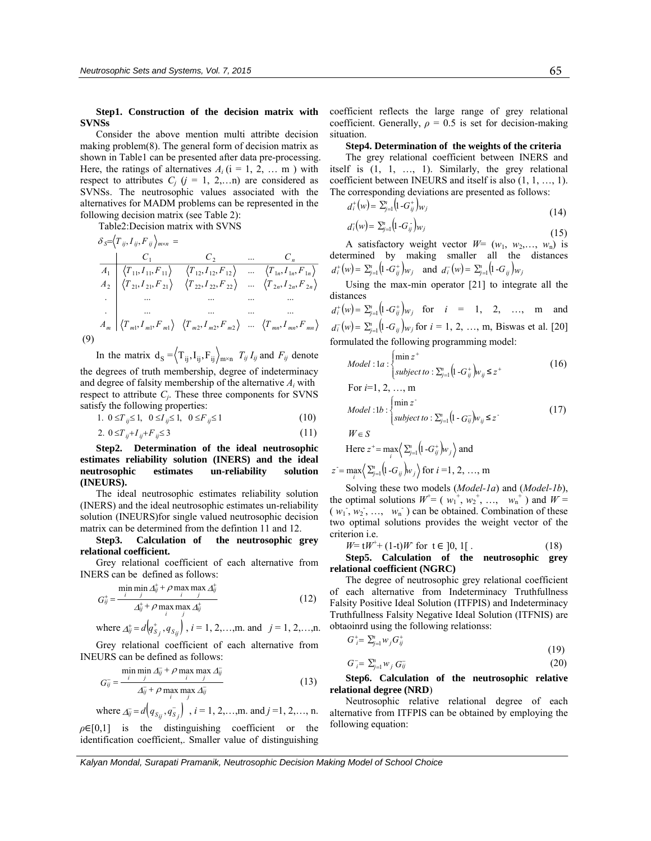**Step1. Construction of the decision matrix with SVNSs** 

Consider the above mention multi attribte decision making problem(8). The general form of decision matrix as shown in Table1 can be presented after data pre-processing. Here, the ratings of alternatives  $A_i$  ( $i = 1, 2, ...$  m) with respect to attributes  $C_j$  ( $j = 1, 2,...n$ ) are considered as SVNSs. The neutrosophic values associated with the alternatives for MADM problems can be represented in the following decision matrix (see Table 2):

Table2:Decision matrix with SVNS

*mmmm mmm mnmnmn nnn nnn n nmijijijS FITFITA FIT FITFITA FIT FITFITA FIT C C C FIT* ,, ,,...,, . ... ... ... ... . ... ... ... ... ,, ,,...,, ,, ,,...,, ... ,, 111 222 2 212121 222222 222 1 111111 121212 111 1 2 <sup>δ</sup> = <sup>×</sup> = (9)

In the matrix  $d_S = \langle T_{ij}, I_{ij}, F_{ij} \rangle_{m \times n}$   $T_{ij} I_{ij}$  and  $F_{ij}$  denote the degrees of truth membership, degree of indeterminacy and degree of falsity membership of the alternative *Ai* with respect to attribute  $C_i$ . These three components for SVNS satisfy the following properties:

1. 
$$
0 \le T_{ij} \le 1
$$
,  $0 \le I_{ij} \le 1$ ,  $0 \le F_{ij} \le 1$  (10)

2. 
$$
0 \le T_{ij} + I_{ij} + F_{ij} \le 3
$$
 (11)

**Step2. Determination of the ideal neutrosophic estimates reliability solution (INERS) and the ideal neutrosophic estimates un-reliability solution (INEURS).** 

The ideal neutrosophic estimates reliability solution (INERS) and the ideal neutrosophic estimates un-reliability solution (INEURS)for single valued neutrosophic decision matrix can be determined from the defintion 11 and 12.

**Step3. Calculation of the neutrosophic grey relational coefficient.** 

Grey relational coefficient of each alternative from INERS can be defined as follows:

$$
G_{ij}^{+} = \frac{\min_{j} \min_{j} A_{ij}^{+} + \rho \max_{i} \max_{j} A_{ij}^{+}}{\Delta_{ij}^{+} + \rho \max_{i} \max_{j} A_{ij}^{+}}
$$
(12)

where 
$$
\Delta_{ij}^+ = d(q_{S_j}^+, q_{S_{ij}})
$$
,  $i = 1, 2, ..., m$  and  $j = 1, 2, ..., n$ .

Grey relational coefficient of each alternative from INEURS can be defined as follows:

$$
G_{ij}^{-} = \frac{\min_{i} \min_{j} \Delta_{ij}^{-} + \rho \max_{i} \max_{j} \Delta_{ij}^{-}}{\Delta_{ij}^{-} + \rho \max_{i} \max_{j} \Delta_{ij}^{-}}
$$
(13)

where 
$$
\Delta_{ij} = d(q_{S_{ij}}, q_{S_j})
$$
,  $i = 1, 2, ..., m$  and  $j = 1, 2, ..., n$ .

 $\rho \in [0,1]$  is the distinguishing coefficient or the identification coefficient,. Smaller value of distinguishing coefficient reflects the large range of grey relational coefficient. Generally,  $\rho = 0.5$  is set for decision-making situation.

#### **Step4. Determination of the weights of the criteria**

The grey relational coefficient between INERS and itself is (1, 1, …, 1). Similarly, the grey relational coefficient between INEURS and itself is also (1, 1, …, 1). The corresponding deviations are presented as follows:

 $d_i^+(w) = \sum_{j=1}^n (1 - G_{ij}^+) w_j$  (14)

$$
(14)
$$

$$
d_i^{\dagger}(w) = \sum_{j=1}^n \left( 1 - G_{ij}^{\dagger} \right) w_j \tag{15}
$$

A satisfactory weight vector  $W = (w_1, w_2, \ldots, w_n)$  is determined by making smaller all the distances  $d_i^+(w) = \sum_{j=1}^n (1 - G_{ij}^+)_{W_j}$  and  $d_i^-(w) = \sum_{j=1}^n (1 - G_{ij})_{W_j}$ 

 Using the max-min operator [21] to integrate all the distances

 $d_i^+(w) = \sum_{i=1}^n (1 - G_{ii}^+)_{W_i}$  for  $i = 1, 2, ..., m$  and  $d_i^-(w) = \sum_{j=1}^n (1 - G_{ij}) w_j$  for  $i = 1, 2, ..., m$ , Biswas et al. [20] formulated the following programming model:

$$
Model: \text{la}: \begin{cases} \min z^+ \\ \text{subject to}: \sum_{j=1}^n \left( 1 - G_{ij}^+ \right) w_{ij} \leq z^+ \end{cases} \tag{16}
$$

For 
$$
i=1, 2, ..., m
$$
  
\nModel :1b : 
$$
\begin{cases}\n\min z \\
\text{subject to} : \sum_{j=1}^{n} (1 - G_{ij})w_{ij} \leq z\n\end{cases}
$$
\n(17)

Here 
$$
z^+ = \max_i \left\langle \sum_{j=1}^n \left( 1 - G_{ij}^+ \right) w_j \right\rangle
$$
 and

$$
z = \max_{i} \left\langle \sum_{j=1}^{n} \left( 1 - G_{ij} \right) w_j \right\rangle
$$
 for  $i = 1, 2, ..., m$ 

Solving these two models (*Model-1a*) and (*Model-1b*), the optimal solutions  $W^+ = (w_1^+, w_2^+, ..., w_n^+)$  and  $W =$  $(w_1, w_2, ..., w_n)$  can be obtained. Combination of these two optimal solutions provides the weight vector of the criterion i.e.

$$
W = tW^{+} + (1-t)W
$$
 for  $t \in ]0, 1[$ . (18)

**Step5. Calculation of the neutrosophic grey relational coefficient (NGRC)**

The degree of neutrosophic grey relational coefficient of each alternative from Indeterminacy Truthfullness Falsity Positive Ideal Solution (ITFPIS) and Indeterminacy Truthfullness Falsity Negative Ideal Solution (ITFNIS) are obtaoinrd using the following relationss:

$$
G_i^+ = \sum_{j=1}^n w_j G_{ij}^+ \tag{19}
$$

$$
G_{i}^{-} = \sum_{j=1}^{n} w_{j} G_{ij}^{-} \tag{20}
$$

**Step6. Calculation of the neutrosophic relative relational degree (NRD**)

Neutrosophic relative relational degree of each alternative from ITFPIS can be obtained by employing the following equation:

*Kalyan Mondal, Surapati Pramanik, Neutrosophic Decision Making Model of School Choice*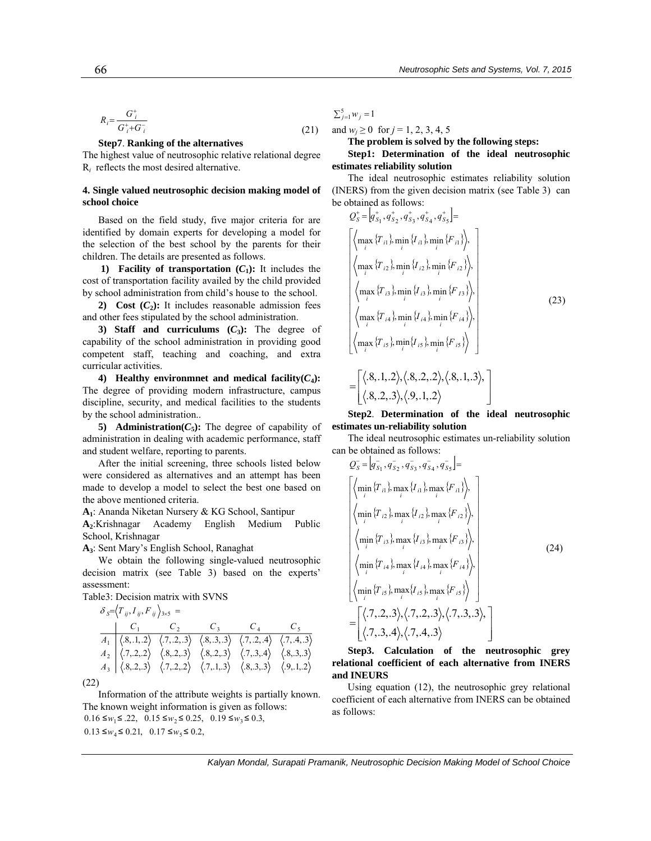$$
R_i = \frac{G_i^+}{G_i^+ + G_i^-}
$$
\n<sup>(21)</sup>

#### **Step7**. **Ranking of the alternatives**

The highest value of neutrosophic relative relational degree R*i* reflects the most desired alternative.

### **4. Single valued neutrosophic decision making model of school choice**

Based on the field study, five major criteria for are identified by domain experts for developing a model for the selection of the best school by the parents for their children. The details are presented as follows.

**1)** Facility of transportation  $(C_1)$ : It includes the cost of transportation facility availed by the child provided by school administration from child's house to the school.

**2)** Cost  $(C_2)$ : It includes reasonable admission fees and other fees stipulated by the school administration.

**3) Staff and curriculums**  $(C_3)$ **: The degree of** capability of the school administration in providing good competent staff, teaching and coaching, and extra curricular activities.

**4)** Healthy environmnet and medical facility $(C_4)$ : The degree of providing modern infrastructure, campus discipline, security, and medical facilities to the students by the school administration..

**5)** Administration( $C_5$ ): The degree of capability of administration in dealing with academic performance, staff and student welfare, reporting to parents.

After the initial screening, three schools listed below were considered as alternatives and an attempt has been made to develop a model to select the best one based on the above mentioned criteria.

**A1**: Ananda Niketan Nursery & KG School, Santipur

**A2**:Krishnagar Academy English Medium Public School, Krishnagar

**A3**: Sent Mary's English School, Ranaghat

We obtain the following single-valued neutrosophic decision matrix (see Table 3) based on the experts' assessment:

Table3: Decision matrix with SVNS

$$
\delta_{S} = \langle T_{ij}, I_{ij}, F_{ij} \rangle_{3 \times 5} =
$$
\n
$$
\begin{array}{c|ccccc}\n & C_1 & C_2 & C_3 & C_4 & C_5 \\
\hline\nA_1 & \langle 8, 1, 2 \rangle & \langle 7, 2, 3 \rangle & \langle 8, 3, 3 \rangle & \langle 7, 2, 4 \rangle & \langle 7, 4, 3 \rangle \\
A_2 & \langle 7, 2, 2 \rangle & \langle 8, 2, 3 \rangle & \langle 8, 2, 3 \rangle & \langle 7, 3, 4 \rangle & \langle 8, 3, 3 \rangle \\
A_3 & \langle 8, 2, 3 \rangle & \langle 7, 2, 2 \rangle & \langle 7, 1, 3 \rangle & \langle 8, 3, 3 \rangle & \langle 9, 1, 2 \rangle\n\end{array}
$$

(22)

Information of the attribute weights is partially known. The known weight information is given as follows:  $0.13 \le w_4 \le 0.21$ ,  $0.17 \le w_5 \le 0.2$ ,  $0.16 \le w_1 \le .22$ ,  $0.15 \le w_2 \le 0.25$ ,  $0.19 \le w_3 \le 0.3$ ,

 $\sum_{i=1}^{5} w_i = 1$ 

 $\mathsf I$ 

and  $w_i \ge 0$  for  $j = 1, 2, 3, 4, 5$ 

**The problem is solved by the following steps:** 

### **Step1: Determination of the ideal neutrosophic estimates reliability solution**

The ideal neutrosophic estimates reliability solution (INERS) from the given decision matrix (see Table 3) can be obtained as follows:

$$
Q_{5}^{+} = [q_{S_{1}}^{+}, q_{S_{2}}^{+}, q_{S_{3}}^{+}, q_{S_{4}}^{+}, q_{S_{5}}^{+}] =
$$
\n
$$
\left\{ \left\langle \max_{i} \{T_{i1}\}, \min_{i} \{I_{i1}\}, \min_{i} \{F_{i1}\} \right\rangle, \right\}
$$
\n
$$
\left\langle \max_{i} \{T_{i2}\}, \min_{i} \{I_{i2}\}, \min_{i} \{F_{i2}\} \right\rangle, \right\}
$$
\n
$$
\left\langle \max_{i} \{T_{i3}\}, \min_{i} \{I_{i3}\}, \min_{i} \{F_{i3}\} \right\rangle, \left\{ \left\langle \max_{i} \{T_{i4}\}, \min_{i} \{I_{i4}\}, \min_{i} \{F_{i4}\} \right\rangle, \right\}
$$
\n
$$
\left\langle \max_{i} \{T_{i5}\}, \min_{i} \{I_{i5}\}, \min_{i} \{F_{i5}\} \right\rangle \right\}
$$
\n
$$
= \left[ \left\langle .8, .1, .2 \right\rangle, \left\langle .8, .2, .2 \right\rangle, \left\langle .8, .1, .3 \right\rangle, \right]
$$
\n
$$
= \left\langle .8, .2, .3 \right\rangle, \left\langle .9, .1, .2 \right\rangle
$$
\n(23)

**Step2**. **Determination of the ideal neutrosophic estimates un-reliability solution** 

 $\overline{\phantom{a}}$ 

⎦

The ideal neutrosophic estimates un-reliability solution can be obtained as follows:

$$
Q_{S}^{-} = [q_{S_{1}}, q_{S_{2}}, q_{S_{3}}, q_{S_{4}}, q_{S_{5}}^{-}] =
$$
\n
$$
\begin{bmatrix}\n\langle \min_{i} \{T_{i1}\}, \max_{i} \{I_{i1}\}, \max_{i} \{F_{i1}\} \rangle, \\
\langle \min_{i} \{T_{i2}\}, \max_{i} \{I_{i2}\}, \max_{i} \{F_{i2}\} \rangle, \\
\langle \min_{i} \{T_{i3}\}, \max_{i} \{I_{i3}\}, \max_{i} \{F_{i3}\} \rangle, \\
\langle \min_{i} \{T_{i4}\}, \max_{i} \{I_{i4}\}, \max_{i} \{F_{i4}\} \rangle, \\
\langle \min_{i} \{T_{i5}\}, \max_{i} \{I_{i5}\}, \max_{i} \{F_{i5}\} \rangle\n\end{bmatrix}
$$
\n(24)\n
$$
= \begin{bmatrix}\n\langle .7, 2, .3 \rangle, \langle .7, .2, .3 \rangle, \langle .7, .3, .3 \rangle, \\
\langle .7, .3, .4 \rangle, \langle .7, .4, .3 \rangle\n\end{bmatrix}
$$

**Step3. Calculation of the neutrosophic grey relational coefficient of each alternative from INERS and INEURS**

Using equation (12), the neutrosophic grey relational coefficient of each alternative from INERS can be obtained as follows:

*Kalyan Mondal, Surapati Pramanik, Neutrosophic Decision Making Model of School Choice*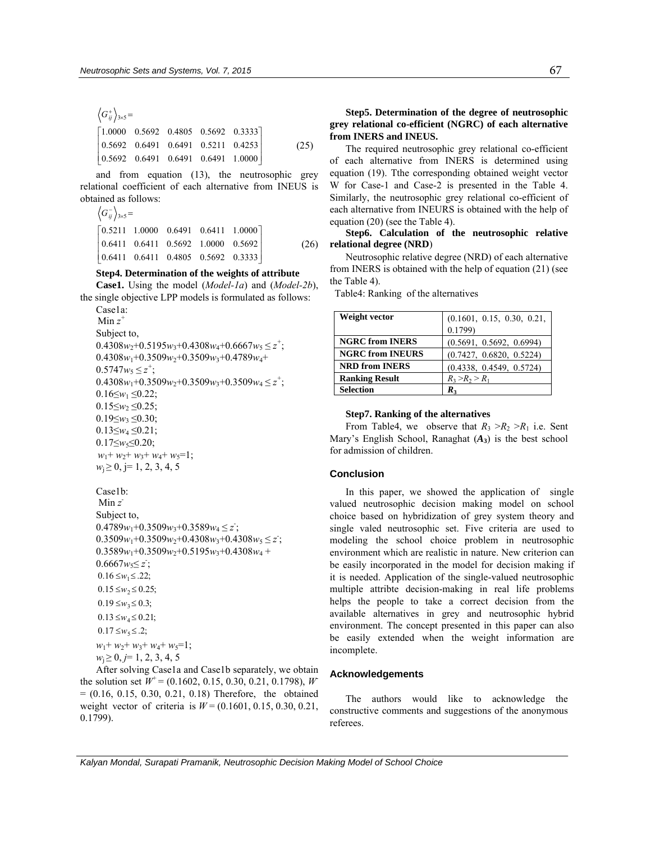$$
\left\langle G_{ij}^{+}\right\rangle_{3\times5} =
$$
\n
$$
\begin{bmatrix}\n1.0000 & 0.5692 & 0.4805 & 0.5692 & 0.3333 \\
0.5692 & 0.6491 & 0.6491 & 0.5211 & 0.4253 \\
0.5692 & 0.6491 & 0.6491 & 0.6491 & 1.0000\n\end{bmatrix}
$$
\n(25)

and from equation (13), the neutrosophic grey relational coefficient of each alternative from INEUS is obtained as follows:

$$
\left\langle G_{ij}^{-} \right\rangle_{3\times5} =
$$
\n
$$
\begin{bmatrix}\n0.5211 & 1.0000 & 0.6491 & 0.6411 & 1.0000 \\
0.6411 & 0.6411 & 0.5692 & 1.0000 & 0.5692 \\
0.6411 & 0.6411 & 0.4805 & 0.5692 & 0.3333\n\end{bmatrix}
$$
\n(26)

# **Step4. Determination of the weights of attribute**

**Case1.** Using the model (*Model-1a*) and (*Model-2b*), the single objective LPP models is formulated as follows:

```
Case1a: 
 Min z
+
Subject to, 
0.4308w_2+0.5195w_3+0.4308w_4+0.6667w_5 \leq z^+;
0.4308w_1+0.3509w_2+0.3509w_3+0.4789w_4+0.5747w_5 \leq z^+;
0.4308w_1+0.3509w_2+0.3509w_3+0.3509w_4 \leq z^+;
0.16 \leq w_1 \leq 0.22;
0.15 \leq w_2 \leq 0.25;
0.19 \leq w_3 \leq 0.30;
0.13≤w4 ≤0.21; 
0.17≤w<sub>5</sub>≤0.20;
w_1+ w_2+ w_3+ w_4+ w_5=1;
w_i \geq 0, j= 1, 2, 3, 4, 5
```
#### Case1b:

```
 Min z
-
Subject to, 
0.4789w_1+0.3509w_3+0.3589w_4 \le z;
0.3509w_1+0.3509w_2+0.4308w_3+0.4308w_5 \le z;
0.3589w_1+0.3509w_2+0.5195w_3+0.4308w_4 +0.6667w_5 \leq z;
0.17 \le w_5 \le .2;0.13 \leq w_4 \leq 0.21;0.19 \le w_3 \le 0.3;
0.15 \leq w_2 \leq 0.25;
0.16 \leq w_1 \leq .22;w_1+ w_2+ w_3+ w_4+ w_5=1;
w_i \geq 0, j=1, 2, 3, 4, 5
```
After solving Case1a and Case1b separately, we obtain the solution set  $W^+$  = (0.1602, 0.15, 0.30, 0.21, 0.1798), *W*  $= (0.16, 0.15, 0.30, 0.21, 0.18)$  Therefore, the obtained weight vector of criteria is *W* = (0.1601, 0.15, 0.30, 0.21, 0.1799).

## **Step5. Determination of the degree of neutrosophic grey relational co-efficient (NGRC) of each alternative from INERS and INEUS.**

The required neutrosophic grey relational co-efficient of each alternative from INERS is determined using equation (19). Tthe corresponding obtained weight vector W for Case-1 and Case-2 is presented in the Table 4. Similarly, the neutrosophic grey relational co-efficient of each alternative from INEURS is obtained with the help of equation (20) (see the Table 4).

## **Step6. Calculation of the neutrosophic relative relational degree (NRD**)

Neutrosophic relative degree (NRD) of each alternative from INERS is obtained with the help of equation (21) (see the Table 4).

Table4: Ranking of the alternatives

| Weight vector           | (0.1601, 0.15, 0.30, 0.21, |
|-------------------------|----------------------------|
|                         | 0.1799                     |
| <b>NGRC from INERS</b>  | (0.5691, 0.5692, 0.6994)   |
| <b>NGRC from INEURS</b> | (0.7427, 0.6820, 0.5224)   |
| <b>NRD from INERS</b>   | (0.4338, 0.4549, 0.5724)   |
| <b>Ranking Result</b>   | $R_3 > R_2 > R_1$          |
| <b>Selection</b>        | $\mathbf{R}_3$             |

#### **Step7. Ranking of the alternatives**

From Table4, we observe that  $R_3 > R_2 > R_1$  i.e. Sent Mary's English School, Ranaghat (*A***3**) is the best school for admission of children.

### **Conclusion**

In this paper, we showed the application of single valued neutrosophic decision making model on school choice based on hybridization of grey system theory and single valed neutrosophic set. Five criteria are used to modeling the school choice problem in neutrosophic environment which are realistic in nature. New criterion can be easily incorporated in the model for decision making if it is needed. Application of the single-valued neutrosophic multiple attribte decision-making in real life problems helps the people to take a correct decision from the available alternatives in grey and neutrosophic hybrid environment. The concept presented in this paper can also be easily extended when the weight information are incomplete.

#### **Acknowledgements**

The authors would like to acknowledge the constructive comments and suggestions of the anonymous referees.